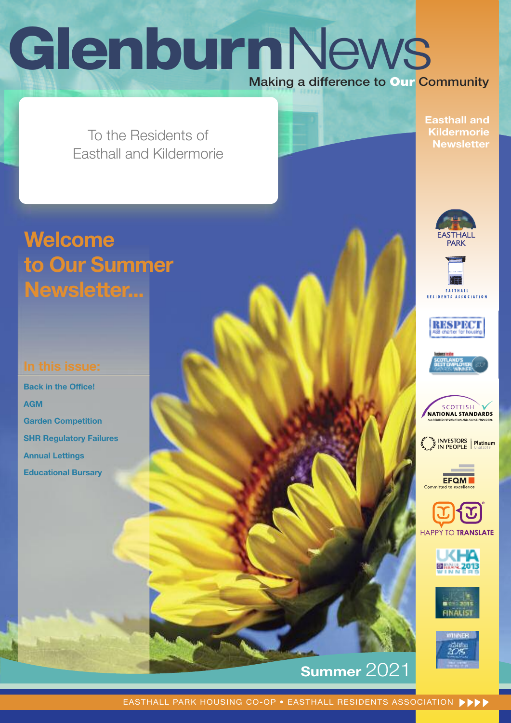# 2 **Glenburn**News Making a difference to **Our** Community

To the Residents of To the Residents of Easthall and Kildermorie Easthall and Kildermorie

# **Welcome to Our Summer Newsletter...**

**Back in the Office! AGM Garden Competition SHR Regulatory Failures Annual Lettings Educational Bursary**

**Easthall and Kildermorie Newsletter**























# **Summer** 2021

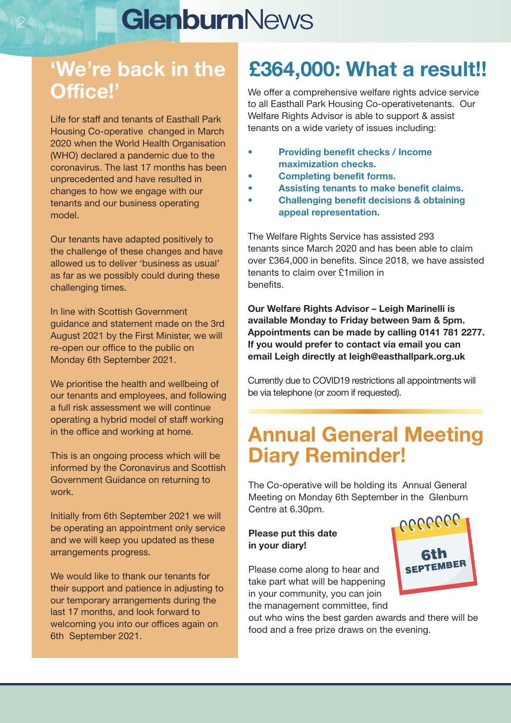# <sup>2</sup> **Glenburn**News

# **'We're back in the Office!'**

Life for staff and tenants of Easthall Park Housing Co-operative changed in March 2020 when the World Health Organisation (WHO) declared a pandemic due to the coronavirus. The last 17 months has been unprecedented and have resulted in changes to how we engage with our tenants and our business operating model.

Our tenants have adapted positively to the challenge of these changes and have allowed us to deliver 'business as usual' as far as we possibly could during these challenging times.

In line with Scottish Government guidance and statement made on the 3rd August 2021 by the First Minister, we will re-open our office to the public on Monday 6th September 2021.

We prioritise the health and wellbeing of our tenants and employees, and following a full risk assessment we will continue operating a hybrid model of staff working in the office and working at home.

This is an ongoing process which will be informed by the Coronavirus and Scottish Government Guidance on returning to work.

Initially from 6th September 2021 we will be operating an appointment only service and we will keep you updated as these arrangements progress.

We would like to thank our tenants for their support and patience in adjusting to our temporary arrangements during the last 17 months, and look forward to welcoming you into our offices again on 6th September 2021.

# **£364,000: What a result!!**

We offer a comprehensive welfare rights advice service to all Easthall Park Housing Co-operativetenants. Our Welfare Rights Advisor is able to support & assist tenants on a wide variety of issues including:

- **• Providing benefit checks / Income maximization checks.**
- **• Completing benefit forms.**
	- **• Assisting tenants to make benefit claims.**
- **• Challenging benefit decisions & obtaining appeal representation.**

The Welfare Rights Service has assisted 293 tenants since March 2020 and has been able to claim over £364,000 in benefits. Since 2018, we have assisted tenants to claim over £1milion in benefits.

**Our Welfare Rights Advisor – Leigh Marinelli is available Monday to Friday between 9am & 5pm. Appointments can be made by calling 0141 781 2277. If you would prefer to contact via email you can email Leigh directly at leigh@easthallpark.org.uk**

Currently due to COVID19 restrictions all appointments will be via telephone (or zoom if requested).

# **Annual General Meeting Diary Reminder!**

The Co-operative will be holding its Annual General Meeting on Monday 6th September in the Glenburn Centre at 6.30pm.  $666666$ 

## **Please put this date in your diary!**

Please come along to hear and take part what will be happening in your community, you can join the management committee, find

out who wins the best garden awards and there will be food and a free prize draws on the evening.

SEPTEMBER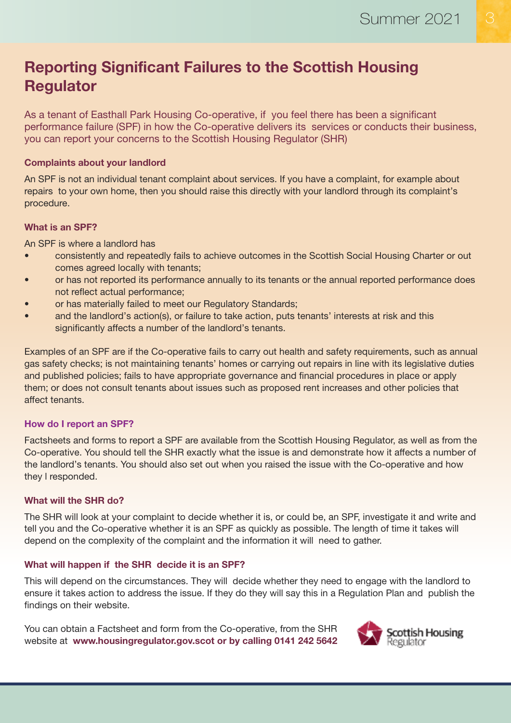# **Reporting Significant Failures to the Scottish Housing Regulator**

As a tenant of Easthall Park Housing Co-operative, if you feel there has been a significant performance failure (SPF) in how the Co-operative delivers its services or conducts their business, you can report your concerns to the Scottish Housing Regulator (SHR)

### **Complaints about your landlord**

An SPF is not an individual tenant complaint about services. If you have a complaint, for example about repairs to your own home, then you should raise this directly with your landlord through its complaint's procedure.

### **What is an SPF?**

An SPF is where a landlord has

- consistently and repeatedly fails to achieve outcomes in the Scottish Social Housing Charter or out comes agreed locally with tenants;
- or has not reported its performance annually to its tenants or the annual reported performance does not reflect actual performance;
- or has materially failed to meet our Regulatory Standards;
- and the landlord's action(s), or failure to take action, puts tenants' interests at risk and this significantly affects a number of the landlord's tenants.

Examples of an SPF are if the Co-operative fails to carry out health and safety requirements, such as annual gas safety checks; is not maintaining tenants' homes or carrying out repairs in line with its legislative duties and published policies; fails to have appropriate governance and financial procedures in place or apply them; or does not consult tenants about issues such as proposed rent increases and other policies that affect tenants.

## **How do I report an SPF?**

Factsheets and forms to report a SPF are available from the Scottish Housing Regulator, as well as from the Co-operative. You should tell the SHR exactly what the issue is and demonstrate how it affects a number of the landlord's tenants. You should also set out when you raised the issue with the Co-operative and how they l responded.

## **What will the SHR do?**

The SHR will look at your complaint to decide whether it is, or could be, an SPF, investigate it and write and tell you and the Co-operative whether it is an SPF as quickly as possible. The length of time it takes will depend on the complexity of the complaint and the information it will need to gather.

## **What will happen if the SHR decide it is an SPF?**

This will depend on the circumstances. They will decide whether they need to engage with the landlord to ensure it takes action to address the issue. If they do they will say this in a Regulation Plan and publish the findings on their website.

You can obtain a Factsheet and form from the Co-operative, from the SHR website at **www.housingregulator.gov.scot or by calling 0141 242 5642**

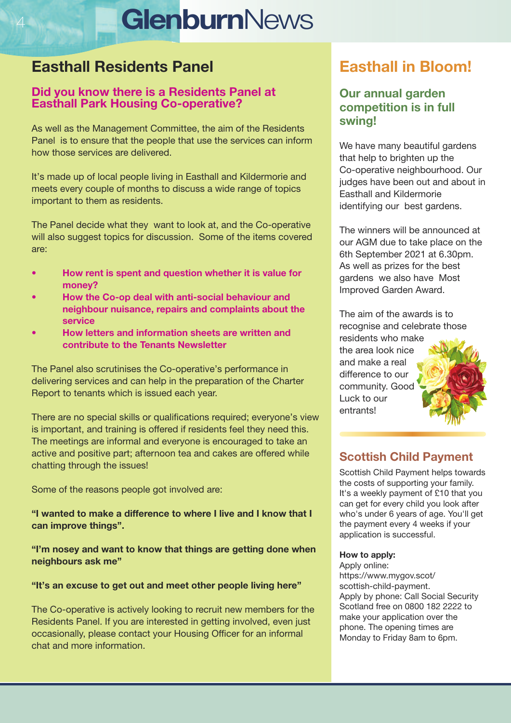# **GlenburnNews**

# **Easthall Residents Panel**

## **Did you know there is a Residents Panel at Easthall Park Housing Co-operative?**

As well as the Management Committee, the aim of the Residents Panel is to ensure that the people that use the services can inform how those services are delivered.

It's made up of local people living in Easthall and Kildermorie and meets every couple of months to discuss a wide range of topics important to them as residents.

The Panel decide what they want to look at, and the Co-operative will also suggest topics for discussion. Some of the items covered are:

- **• How rent is spent and question whether it is value for money?**
- **• How the Co-op deal with anti-social behaviour and neighbour nuisance, repairs and complaints about the service**
- **• How letters and information sheets are written and contribute to the Tenants Newsletter**

The Panel also scrutinises the Co-operative's performance in delivering services and can help in the preparation of the Charter Report to tenants which is issued each year.

There are no special skills or qualifications required; everyone's view is important, and training is offered if residents feel they need this. The meetings are informal and everyone is encouraged to take an active and positive part; afternoon tea and cakes are offered while chatting through the issues!

Some of the reasons people got involved are:

**"I wanted to make a difference to where I live and I know that I can improve things".**

**"I'm nosey and want to know that things are getting done when neighbours ask me"**

## **"It's an excuse to get out and meet other people living here"**

The Co-operative is actively looking to recruit new members for the Residents Panel. If you are interested in getting involved, even just occasionally, please contact your Housing Officer for an informal chat and more information.

# **Easthall in Bloom!**

## **Our annual garden competition is in full swing!**

We have many beautiful gardens that help to brighten up the Co-operative neighbourhood. Our judges have been out and about in Easthall and Kildermorie identifying our best gardens.

The winners will be announced at our AGM due to take place on the 6th September 2021 at 6.30pm. As well as prizes for the best gardens we also have Most Improved Garden Award.

The aim of the awards is to recognise and celebrate those residents who make

the area look nice and make a real difference to our community. Good Luck to our entrants!



# **Scottish Child Payment**

Scottish Child Payment helps towards the costs of supporting your family. It's a weekly payment of £10 that you can get for every child you look after who's under 6 years of age. You'll get the payment every 4 weeks if your application is successful.

#### **How to apply:**

Apply online: https://www.mygov.scot/ scottish-child-payment. Apply by phone: Call Social Security Scotland free on 0800 182 2222 to make your application over the phone. The opening times are Monday to Friday 8am to 6pm.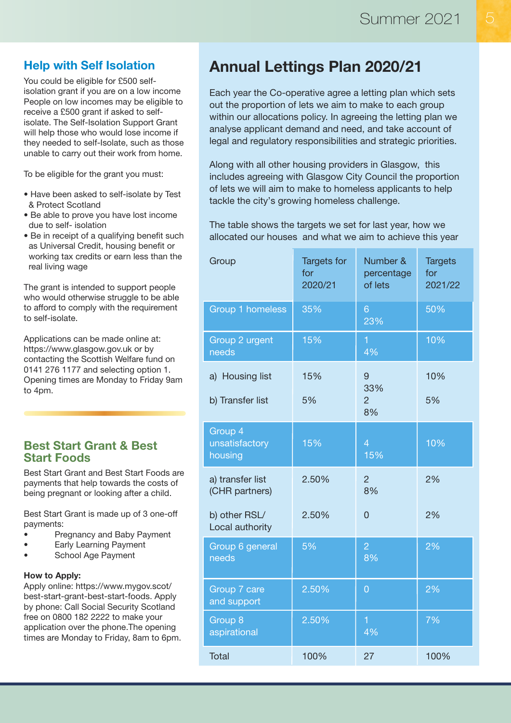# **Help with Self Isolation**

You could be eligible for £500 selfisolation grant if you are on a low income People on low incomes may be eligible to receive a £500 grant if asked to selfisolate. The Self-Isolation Support Grant will help those who would lose income if they needed to self-Isolate, such as those unable to carry out their work from home.

To be eligible for the grant you must:

- Have been asked to self-isolate by Test & Protect Scotland
- Be able to prove you have lost income due to self- isolation
- Be in receipt of a qualifying benefit such as Universal Credit, housing benefit or working tax credits or earn less than the real living wage

The grant is intended to support people who would otherwise struggle to be able to afford to comply with the requirement to self-isolate.

Applications can be made online at: https://www.glasgow.gov.uk or by contacting the Scottish Welfare fund on 0141 276 1177 and selecting option 1. Opening times are Monday to Friday 9am to 4pm.

## **Best Start Grant & Best Start Foods**

Best Start Grant and Best Start Foods are payments that help towards the costs of being pregnant or looking after a child.

Best Start Grant is made up of 3 one-off payments:

- Pregnancy and Baby Payment
- **Early Learning Payment**
- School Age Payment

#### **How to Apply:**

Apply online: https://www.mygov.scot/ best-start-grant-best-start-foods. Apply by phone: Call Social Security Scotland free on 0800 182 2222 to make your application over the phone.The opening times are Monday to Friday, 8am to 6pm.

# **Annual Lettings Plan 2020/21**

Each year the Co-operative agree a letting plan which sets out the proportion of lets we aim to make to each group within our allocations policy. In agreeing the letting plan we analyse applicant demand and need, and take account of legal and regulatory responsibilities and strategic priorities.

Along with all other housing providers in Glasgow, this includes agreeing with Glasgow City Council the proportion of lets we will aim to make to homeless applicants to help tackle the city's growing homeless challenge.

The table shows the targets we set for last year, how we allocated our houses and what we aim to achieve this year

| Group                                | <b>Targets for</b><br>for<br>2020/21 | Number &<br>percentage<br>of lets | <b>Targets</b><br>for<br>2021/22 |
|--------------------------------------|--------------------------------------|-----------------------------------|----------------------------------|
| <b>Group 1 homeless</b>              | 35%                                  | 6<br>23%                          | 50%                              |
| Group 2 urgent<br>needs              | 15%                                  | 1<br>4%                           | 10%                              |
| a) Housing list                      | 15%                                  | 9<br>33%                          | 10%                              |
| b) Transfer list                     | 5%                                   | $\overline{2}$<br>8%              | 5%                               |
| Group 4<br>unsatisfactory<br>housing | 15%                                  | $\overline{4}$<br>15%             | 10%                              |
| a) transfer list<br>(CHR partners)   | 2.50%                                | $\overline{2}$<br>8%              | 2%                               |
| b) other RSL/<br>Local authority     | 2.50%                                | $\overline{0}$                    | 2%                               |
| Group 6 general<br>needs             | 5%                                   | $\overline{2}$<br>8%              | 2%                               |
| Group 7 care<br>and support          | 2.50%                                | $\overline{0}$                    | 2%                               |
| Group 8<br>aspirational              | 2.50%                                | 1<br>4%                           | 7%                               |
| <b>Total</b>                         | 100%                                 | 27                                | 100%                             |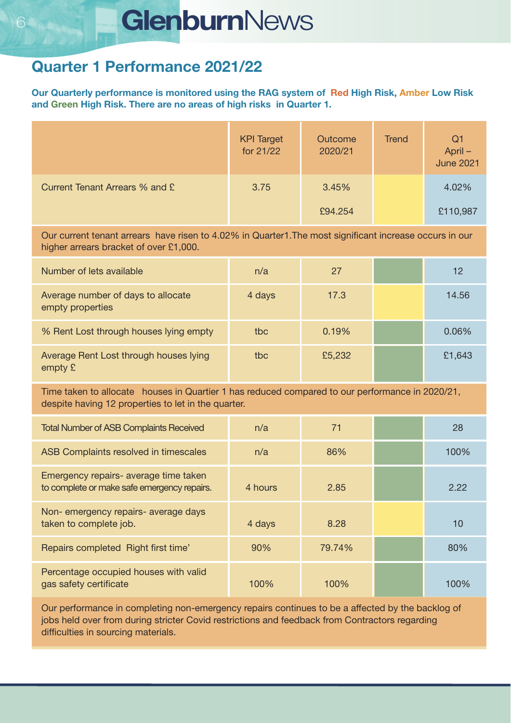# **6 GlenburnNews**

# **Quarter 1 Performance 2021/22**

**Our Quarterly performance is monitored using the RAG system of Red High Risk, Amber Low Risk and Green High Risk. There are no areas of high risks in Quarter 1.**

|                                | <b>KPI Target</b><br>for 21/22 | Outcome<br>2020/21 | <b>Trend</b> | Q <sub>1</sub><br>April –<br>June 2021 |
|--------------------------------|--------------------------------|--------------------|--------------|----------------------------------------|
| Current Tenant Arrears % and £ | 3.75                           | 3.45%              |              | 4.02%                                  |
|                                |                                | £94.254            |              | £110,987                               |

Our current tenant arrears have risen to 4.02% in Quarter1.The most significant increase occurs in our higher arrears bracket of over £1,000.

| Number of lets available                               | n/a    | 27     | 12     |
|--------------------------------------------------------|--------|--------|--------|
| Average number of days to allocate<br>empty properties | 4 days | 17.3   | 14.56  |
| % Rent Lost through houses lying empty                 | tbc    | 0.19%  | 0.06%  |
| Average Rent Lost through houses lying<br>empty $E$    | thc.   | £5,232 | £1,643 |

Time taken to allocate houses in Quartier 1 has reduced compared to our performance in 2020/21, despite having 12 properties to let in the quarter.

| <b>Total Number of ASB Complaints Received</b>                                       | n/a     | 71      | 28   |
|--------------------------------------------------------------------------------------|---------|---------|------|
| ASB Complaints resolved in timescales                                                | n/a     | 86%     | 100% |
| Emergency repairs- average time taken<br>to complete or make safe emergency repairs. | 4 hours | 2.85    | 2.22 |
| Non- emergency repairs- average days<br>taken to complete job.                       | 4 days  | 8.28    | 10   |
| Repairs completed Right first time'                                                  | 90%     | 79.74%  | 80%  |
| Percentage occupied houses with valid<br>gas safety certificate                      | 100%    | $100\%$ | 100% |

Our performance in completing non-emergency repairs continues to be a affected by the backlog of jobs held over from during stricter Covid restrictions and feedback from Contractors regarding difficulties in sourcing materials.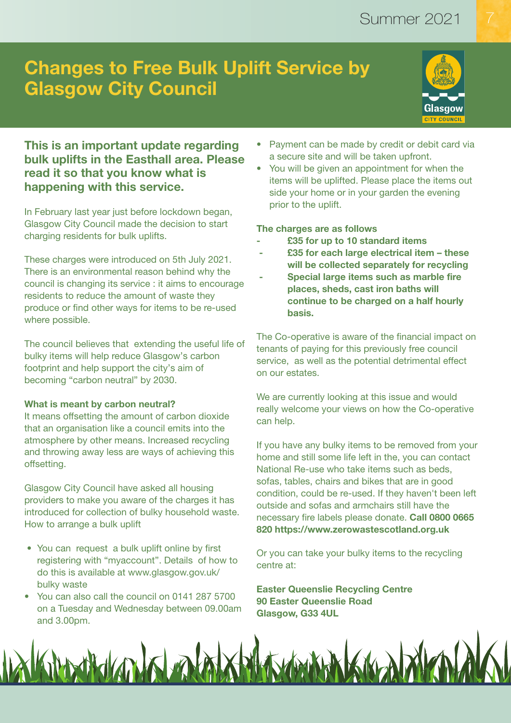# **Changes to Free Bulk Uplift Service by Glasgow City Council**



# **This is an important update regarding bulk uplifts in the Easthall area. Please read it so that you know what is happening with this service.**

In February last year just before lockdown began, Glasgow City Council made the decision to start charging residents for bulk uplifts.

These charges were introduced on 5th July 2021. There is an environmental reason behind why the council is changing its service : it aims to encourage residents to reduce the amount of waste they produce or find other ways for items to be re-used where possible.

The council believes that extending the useful life of bulky items will help reduce Glasgow's carbon footprint and help support the city's aim of becoming "carbon neutral" by 2030.

#### **What is meant by carbon neutral?**

It means offsetting the amount of carbon dioxide that an organisation like a council emits into the atmosphere by other means. Increased recycling and throwing away less are ways of achieving this offsetting.

Glasgow City Council have asked all housing providers to make you aware of the charges it has introduced for collection of bulky household waste. How to arrange a bulk uplift

- You can request a bulk uplift online by first registering with "myaccount". Details of how to do this is available at www.glasgow.gov.uk/ bulky waste
- You can also call the council on 0141 287 5700 on a Tuesday and Wednesday between 09.00am and 3.00pm.
- Payment can be made by credit or debit card via a secure site and will be taken upfront.
- You will be given an appointment for when the items will be uplifted. Please place the items out side your home or in your garden the evening prior to the uplift.

#### **The charges are as follows**

- **- £35 for up to 10 standard items**
- **- £35 for each large electrical item – these will be collected separately for recycling**
- **- Special large items such as marble fire places, sheds, cast iron baths will continue to be charged on a half hourly basis.**

The Co-operative is aware of the financial impact on tenants of paying for this previously free council service, as well as the potential detrimental effect on our estates.

We are currently looking at this issue and would really welcome your views on how the Co-operative can help.

If you have any bulky items to be removed from your home and still some life left in the, you can contact National Re-use who take items such as beds, sofas, tables, chairs and bikes that are in good condition, could be re-used. If they haven't been left outside and sofas and armchairs still have the necessary fire labels please donate. **Call 0800 0665 820 https://www.zerowastescotland.org.uk**

Or you can take your bulky items to the recycling centre at:

**Easter Queenslie Recycling Centre 90 Easter Queenslie Road Glasgow, G33 4UL**